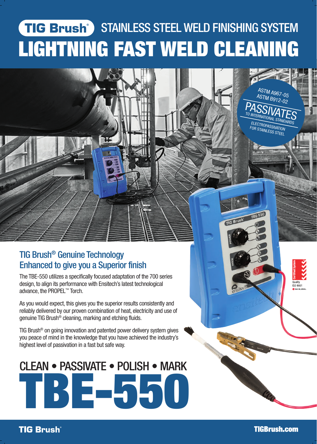## **STAINLESS STEEL WELD FINISHING SYSTEM** LIGHTNING FAST WELD CLEANING

### TIG Brush® Genuine Technology Enhanced to give you a Superior finish

The TBE-550 utilizes a specifically focused adaptation of the 700 series design, to align its performance with Ensitech's latest technological advance, the PROPEL™ Torch.

As you would expect, this gives you the superior results consistently and reliably delivered by our proven combination of heat, electricity and use of genuine TIG Brush® cleaning, marking and etching fluids.

TIG Brush® on going innovation and patented power delivery system gives you peace of mind in the knowledge that you have achieved the industry's highest level of passivation in a fast but safe way.

# **BE-550** CLEAN • PASSIVATE • POLISH • MARK

**TIG Brush**®

ASTM A967-05 ASTM B912-02

PASSIVATES TO INTERNATIONAL STANDARDS ELECTROPASSIVATION FOR STAINLESS STEEL